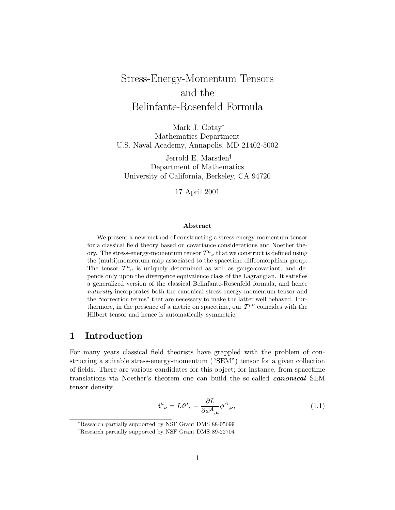# <span id="page-0-0"></span>Stress-Energy-Momentum Tensors and the Belinfante-Rosenfeld Formula

Mark J. Gotay<sup>∗</sup> Mathematics Department U.S. Naval Academy, Annapolis, MD 21402-5002

Jerrold E. Marsden† Department of Mathematics University of California, Berkeley, CA 94720

17 April 2001

#### **Abstract**

We present a new method of constructing a stress-energy-momentum tensor for a classical field theory based on covariance considerations and Noether theory. The stress-energy-momentum tensor  $T^{\mu}{}_{\nu}$  that we construct is defined using the (multi)momentum map associated to the spacetime diffeomorphism group. The tensor  $T^{\mu}{}_{\nu}$  is uniquely determined as well as gauge-covariant, and depends only upon the divergence equivalence class of the Lagrangian. It satisfies a generalized version of the classical Belinfante-Rosenfeld formula, and hence naturally incorporates both the canonical stress-energy-momentum tensor and the "correction terms" that are necessary to make the latter well behaved. Furthermore, in the presence of a metric on spacetime, our  $\mathcal{T}^{\mu\nu}$  coincides with the Hilbert tensor and hence is automatically symmetric.

### **1 Introduction**

For many years classical field theorists have grappled with the problem of constructing a suitable stress-energy-momentum ("SEM") tensor for a given collection of fields. There are various candidates for this object; for instance, from spacetime translations via Noether's theorem one can build the so-called *canonical* SEM tensor density

$$
\mathfrak{t}^{\mu}{}_{\nu} = L\delta^{\mu}{}_{\nu} - \frac{\partial L}{\partial \phi^{A}{}_{,\mu}} \phi^{A}{}_{,\nu},\tag{1.1}
$$

<sup>∗</sup>Research partially supported by NSF Grant DMS 88-05699

<sup>†</sup>Research partially supported by NSF Grant DMS 89-22704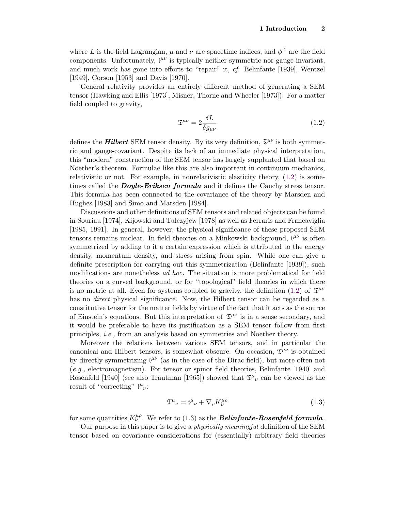<span id="page-1-0"></span>where *L* is the field Lagrangian,  $\mu$  and  $\nu$  are spacetime indices, and  $\phi^A$  are the field components. Unfortunately,  $t^{\mu\nu}$  is typically neither symmetric nor gauge-invariant, and much work has gone into efforts to "repair" it, cf. Belinfante [1939], Wentzel [1949], Corson [1953] and Davis [1970].

General relativity provides an entirely different method of generating a SEM tensor (Hawking and Ellis [1973], Misner, Thorne and Wheeler [1973]). For a matter field coupled to gravity,

$$
\mathfrak{T}^{\mu\nu} = 2 \frac{\delta L}{\delta g_{\mu\nu}} \tag{1.2}
$$

defines the **Hilbert** SEM tensor density. By its very definition,  $\mathfrak{T}^{\mu\nu}$  is both symmetric and gauge-covariant. Despite its lack of an immediate physical interpretation, this "modern" construction of the SEM tensor has largely supplanted that based on Noether's theorem. Formulae like this are also important in continuum mechanics, relativistic or not. For example, in nonrelativistic elasticity theory, (1.2) is sometimes called the *Doyle-Eriksen formula* and it defines the Cauchy stress tensor. This formula has been connected to the covariance of the theory by Marsden and Hughes [1983] and Simo and Marsden [1984].

Discussions and other definitions of SEM tensors and related objects can be found in Souriau [1974], Kijowski and Tulczyjew [1978] as well as Ferraris and Francaviglia [1985, 1991]. In general, however, the physical significance of these proposed SEM tensors remains unclear. In field theories on a Minkowski background,  $t^{\mu\nu}$  is often symmetrized by adding to it a certain expression which is attributed to the energy density, momentum density, and stress arising from spin. While one can give a definite prescription for carrying out this symmetrization (Belinfante [1939]), such modifications are nonetheless ad hoc. The situation is more problematical for field theories on a curved background, or for "topological" field theories in which there is no metric at all. Even for systems coupled to gravity, the definition (1.2) of  $\mathfrak{T}^{\mu\nu}$ has no *direct* physical significance. Now, the Hilbert tensor can be regarded as a constitutive tensor for the matter fields by virtue of the fact that it acts as the source of Einstein's equations. But this interpretation of  $\mathfrak{T}^{\mu\nu}$  is in a sense secondary, and it would be preferable to have its justification as a SEM tensor follow from first principles, i.e., from an analysis based on symmetries and Noether theory.

Moreover the relations between various SEM tensors, and in particular the canonical and Hilbert tensors, is somewhat obscure. On occasion,  $\mathfrak{T}^{\mu\nu}$  is obtained by directly symmetrizing  $t^{\mu\nu}$  (as in the case of the Dirac field), but more often not (e.g., electromagnetism). For tensor or spinor field theories, Belinfante [1940] and Rosenfeld [1940] (see also Trautman [1965]) showed that  $\mathfrak{T}^{\mu}{}_{\nu}$  can be viewed as the result of "correcting"  ${\mathfrak t}^\mu{}_\nu$ :

$$
\mathfrak{T}^{\mu}{}_{\nu} = \mathfrak{t}^{\mu}{}_{\nu} + \nabla_{\rho} K^{\mu \rho}_{\nu} \tag{1.3}
$$

for some quantities  $K^{\mu\rho}_{\nu}$ . We refer to (1.3) as the *Belinfante-Rosenfeld formula*.

Our purpose in this paper is to give a physically meaningful definition of the SEM tensor based on covariance considerations for (essentially) arbitrary field theories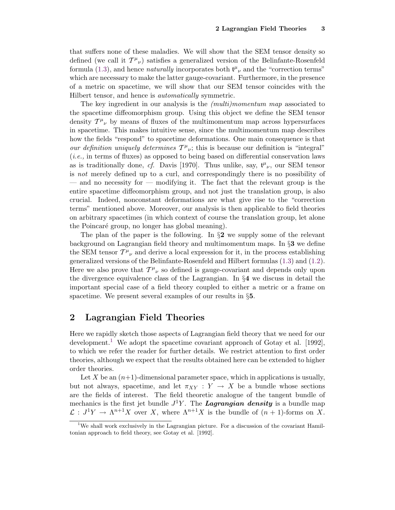that suffers none of these maladies. We will show that the SEM tensor density so defined (we call it  $T^{\mu}{}_{\nu}$ ) satisfies a generalized version of the Belinfante-Rosenfeld formula [\(1.3\)](#page-1-0), and hence *naturally* incorporates both  $t^{\mu}{}_{\nu}$  and the "correction terms" which are necessary to make the latter gauge-covariant. Furthermore, in the presence of a metric on spacetime, we will show that our SEM tensor coincides with the Hilbert tensor, and hence is automatically symmetric.

The key ingredient in our analysis is the (multi)momentum map associated to the spacetime diffeomorphism group. Using this object we define the SEM tensor density  $T^{\mu}{}_{\nu}$  by means of fluxes of the multimomentum map across hypersurfaces in spacetime. This makes intuitive sense, since the multimomentum map describes how the fields "respond" to spacetime deformations. One main consequence is that our definition uniquely determines  $T^{\mu}{}_{\nu}$ ; this is because our definition is "integral" (i.e., in terms of fluxes) as opposed to being based on differential conservation laws as is traditionally done, cf. Davis [1970]. Thus unlike, say,  $t^{\mu}{}_{\nu}$ , our SEM tensor is not merely defined up to a curl, and correspondingly there is no possibility of — and no necessity for — modifying it. The fact that the relevant group is the entire spacetime diffeomorphism group, and not just the translation group, is also crucial. Indeed, nonconstant deformations are what give rise to the "correction terms" mentioned above. Moreover, our analysis is then applicable to field theories on arbitrary spacetimes (in which context of course the translation group, let alone the Poincaré group, no longer has global meaning).

The plan of the paper is the following. In §**2** we supply some of the relevant background on Lagrangian field theory and multimomentum maps. In §**3** we define the SEM tensor  $T^{\mu}{}_{\nu}$  and derive a local expression for it, in the process establishing generalized versions of the Belinfante-Rosenfeld and Hilbert formulas [\(1.3\)](#page-1-0) and [\(1.2\)](#page-1-0). Here we also prove that  $T^{\mu}{}_{\nu}$  so defined is gauge-covariant and depends only upon the divergence equivalence class of the Lagrangian. In §**4** we discuss in detail the important special case of a field theory coupled to either a metric or a frame on spacetime. We present several examples of our results in §**5**.

# **2 Lagrangian Field Theories**

Here we rapidly sketch those aspects of Lagrangian field theory that we need for our development.<sup>1</sup> We adopt the spacetime covariant approach of Gotay et al. [1992], to which we refer the reader for further details. We restrict attention to first order theories, although we expect that the results obtained here can be extended to higher order theories.

Let  $X$  be an  $(n+1)$ -dimensional parameter space, which in applications is usually, but not always, spacetime, and let  $\pi_{XY}: Y \to X$  be a bundle whose sections are the fields of interest. The field theoretic analogue of the tangent bundle of mechanics is the first jet bundle  $J^1Y$ . The **Lagrangian density** is a bundle map  $\mathcal{L}: J^1Y \to \Lambda^{n+1}X$  over X, where  $\Lambda^{n+1}X$  is the bundle of  $(n+1)$ -forms on X.

<sup>&</sup>lt;sup>1</sup>We shall work exclusively in the Lagrangian picture. For a discussion of the covariant Hamiltonian approach to field theory, see Gotay et al. [1992].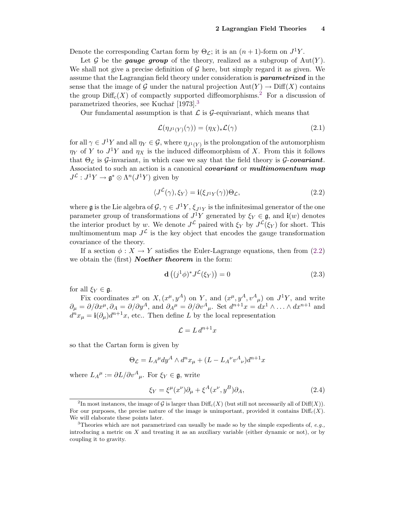<span id="page-3-0"></span>Denote the corresponding Cartan form by  $\Theta_{\mathcal{L}}$ ; it is an  $(n+1)$ -form on  $J^1Y$ .

Let  $G$  be the *gauge group* of the theory, realized as a subgroup of  $Aut(Y)$ . We shall not give a precise definition of  $\mathcal G$  here, but simply regard it as given. We assume that the Lagrangian field theory under consideration is *parametrized* in the sense that the image of G under the natural projection  $Aut(Y) \to \text{Diff}(X)$  contains the group  $\text{Diff}_c(X)$  of compactly supported diffeomorphisms.<sup>2</sup> For a discussion of parametrized theories, see Kuchař  $[1973]$ .<sup>3</sup>

Our fundamental assumption is that  $\mathcal L$  is  $\mathcal G$ -equivariant, which means that

$$
\mathcal{L}(\eta_{J^1(Y)}(\gamma)) = (\eta_X)_* \mathcal{L}(\gamma) \tag{2.1}
$$

for all  $\gamma \in J^1Y$  and all  $\eta_Y \in \mathcal{G}$ , where  $\eta_{J^1(Y)}$  is the prolongation of the automorphism  $\eta_Y$  of *Y* to *J*<sup>1</sup>*Y* and  $\eta_X$  is the induced diffeomorphism of *X*. From this it follows that  $\Theta_{\mathcal{L}}$  is  $\mathcal{G}\text{-invariant}$ , in which case we say that the field theory is  $\mathcal{G}\text{-}covariant$ . Associated to such an action is a canonical *covariant* or *multimomentum map*  $J^{\mathcal{L}}: J^1Y \to \mathfrak{g}^* \otimes \Lambda^n(J^1Y)$  given by

$$
\langle J^{\mathcal{L}}(\gamma), \xi_Y \rangle = \mathbf{i}(\xi_{J^1 Y}(\gamma)) \Theta_{\mathcal{L}}, \tag{2.2}
$$

where g is the Lie algebra of  $\mathcal{G}, \gamma \in J^1Y, \xi_{J^1Y}$  is the infinitesimal generator of the one parameter group of transformations of  $J^1Y$  generated by  $\xi_Y \in \mathfrak{g}$ , and **i**(*w*) denotes the interior product by *w*. We denote  $J^{\mathcal{L}}$  paired with  $\xi_Y$  by  $J^{\mathcal{L}}(\xi_Y)$  for short. This multimomentum map  $J^{\mathcal{L}}$  is the key object that encodes the gauge transformation covariance of the theory.

If a section  $\phi: X \to Y$  satisfies the Euler-Lagrange equations, then from (2.2) we obtain the (first) *Noether theorem* in the form:

$$
\mathbf{d}\left((j^1\phi)^* J^{\mathcal{L}}(\xi_Y)\right) = 0\tag{2.3}
$$

for all  $\xi_Y \in \mathfrak{g}$ .

Fix coordinates  $x^{\mu}$  on *X*,  $(x^{\mu}, y^A)$  on *Y*, and  $(x^{\mu}, y^A, v^A_{\mu})$  on  $J^1Y$ , and write  $\partial_{\mu} = \partial/\partial x^{\mu}, \partial_{A} = \partial/\partial y^{A}$ , and  $\partial_{A}{}^{\mu} = \partial/\partial v^{A}{}_{\mu}$ . Set  $d^{n+1}x = dx^{1} \wedge \ldots \wedge dx^{n+1}$  and  $d^n x_\mu = \mathbf{i}(\partial_\mu) d^{n+1} x$ , etc.. Then define *L* by the local representation

$$
\mathcal{L} = L d^{n+1} x
$$

so that the Cartan form is given by

$$
\Theta_{\mathcal{L}} = L_A^{\mu} dy^A \wedge d^n x_{\mu} + (L - L_A^{\nu} v^A_{\nu}) d^{n+1} x
$$

where  $L_A^{\mu} := \partial L / \partial v^A_{\mu}$ . For  $\xi_Y \in \mathfrak{g}$ , write

$$
\xi_Y = \xi^\mu(x^\nu)\partial_\mu + \xi^A(x^\nu, y^B)\partial_A,\tag{2.4}
$$

<sup>&</sup>lt;sup>2</sup>In most instances, the image of G is larger than  $\text{Diff}_c(X)$  (but still not necessarily all of  $\text{Diff}(X)$ ). For our purposes, the precise nature of the image is unimportant, provided it contains  $\text{Diff}_c(X)$ . We will elaborate these points later.

<sup>3</sup>Theories which are not parametrized can usually be made so by the simple expedients of, *e.g.,* introducing a metric on *X* and treating it as an auxiliary variable (either dynamic or not), or by coupling it to gravity.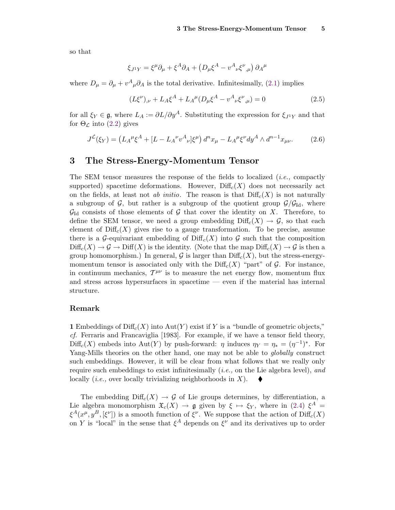<span id="page-4-0"></span>so that

$$
\xi_{J^1Y} = \xi^{\mu}\partial_{\mu} + \xi^A\partial_A + \left(D_{\mu}\xi^A - v^A_{\nu}\xi^{\nu}{}_{,\mu}\right)\partial_A^{\mu}
$$

where  $D_{\mu} = \partial_{\mu} + v^A_{\mu} \partial_A$  is the total derivative. Infinitesimally, [\(2.1\)](#page-3-0) implies

$$
(L\xi^{\nu})_{,\nu} + L_A \xi^A + L_A^{\mu} (D_{\mu}\xi^A - v^A_{\nu}\xi^{\nu})_{,\mu} = 0 \tag{2.5}
$$

for all  $\xi_Y \in \mathfrak{g}$ , where  $L_A := \partial L / \partial y^A$ . Substituting the expression for  $\xi_{J^1Y}$  and that for  $\Theta_{\mathcal{L}}$  into [\(2.2\)](#page-3-0) gives

$$
J^{\mathcal{L}}(\xi_Y) = \left( L_A{}^{\mu} \xi^A + [L - L_A{}^{\nu} v^A{}_{\nu}] \xi^{\mu} \right) d^n x_{\mu} - L_A{}^{\mu} \xi^{\nu} dy^A \wedge d^{n-1} x_{\mu\nu}.
$$
 (2.6)

### **3 The Stress-Energy-Momentum Tensor**

The SEM tensor measures the response of the fields to localized (i.e., compactly supported) spacetime deformations. However,  $\text{Diff}_c(X)$  does not necessarily act on the fields, at least not ab initio. The reason is that  $\text{Diff}_c(X)$  is not naturally a subgroup of  $\mathcal{G}$ , but rather is a subgroup of the quotient group  $\mathcal{G}/\mathcal{G}_{\text{Id}}$ , where  $\mathcal{G}_{\mathrm{Id}}$  consists of those elements of  $\mathcal G$  that cover the identity on X. Therefore, to define the SEM tensor, we need a group embedding  $\text{Diff}_c(X) \to \mathcal{G}$ , so that each element of  $\text{Diff}_c(X)$  gives rise to a gauge transformation. To be precise, assume there is a G-equivariant embedding of  $\mathrm{Diff}_c(X)$  into G such that the composition  $\text{Diff}_c(X) \to \mathcal{G} \to \text{Diff}(X)$  is the identity. (Note that the map  $\text{Diff}_c(X) \to \mathcal{G}$  is then a group homomorphism.) In general,  $\mathcal G$  is larger than  $\text{Diff}_c(X)$ , but the stress-energymomentum tensor is associated only with the  $\text{Diff}_c(X)$  "part" of G. For instance, in continuum mechanics,  $T^{\mu\nu}$  is to measure the net energy flow, momentum flux and stress across hypersurfaces in spacetime — even if the material has internal structure.

### **Remark**

**1** Embeddings of Diff<sub>c</sub> $(X)$  into Aut $(Y)$  exist if Y is a "bundle of geometric objects," cf. Ferraris and Francaviglia [1983]. For example, if we have a tensor field theory,  $\text{Diff}_c(X)$  embeds into Aut(Y) by push-forward: *η* induces  $\eta_Y = \eta_* = (\eta^{-1})^*$ . For Yang-Mills theories on the other hand, one may not be able to *globally* construct such embeddings. However, it will be clear from what follows that we really only require such embeddings to exist infinitesimally  $(i.e.,$  on the Lie algebra level), and locally (i.e., over locally trivializing neighborhoods in *X*).

The embedding  $\text{Diff}_c(X) \to \mathcal{G}$  of Lie groups determines, by differentiation, a Lie algebra monomorphism  $\mathfrak{X}_c(X) \to \mathfrak{g}$  given by  $\xi \mapsto \xi_Y$ , where in [\(2.4\)](#page-3-0)  $\xi^A =$  $\xi^A(x^{\mu}, y^B, [\xi^{\nu}])$  is a smooth function of  $\xi^{\nu}$ . We suppose that the action of Diff<sub>c</sub>(*X*) on *Y* is "local" in the sense that  $\xi^A$  depends on  $\xi^{\nu}$  and its derivatives up to order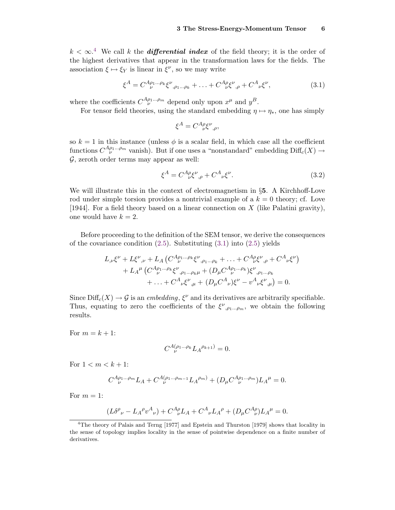<span id="page-5-0"></span> $k < \infty$ .<sup>4</sup> We call *k* the *differential index* of the field theory; it is the order of the highest derivatives that appear in the transformation laws for the fields. The association  $\xi \mapsto \xi_Y$  is linear in  $\xi^\nu$ , so we may write

$$
\xi^{A} = C^{A\rho_{1}\dots\rho_{k}} \xi^{\nu}{}_{,\rho_{1}\dots\rho_{k}} + \dots + C^{A\rho}_{\nu} \xi^{\nu}{}_{,\rho} + C^{A}{}_{\nu} \xi^{\nu}, \tag{3.1}
$$

where the coefficients  $C^{A\rho_1 \ldots \rho_m}_{\nu}$  depend only upon  $x^{\mu}$  and  $y^B$ .

For tensor field theories, using the standard embedding  $\eta \mapsto \eta_*$ , one has simply

$$
\xi^A = C^A_{\ \ \nu} \xi^{\nu}{}_{,\rho},
$$

so  $k = 1$  in this instance (unless  $\phi$  is a scalar field, in which case all the coefficient functions  $C^{A\rho_1...\rho_m}_{\nu}$  vanish). But if one uses a "nonstandard" embedding  $\text{Diff}_c(X) \rightarrow$  $G$ , zeroth order terms may appear as well:

$$
\xi^A = C^A{}_{\nu}^{\rho} \xi^{\nu}{}_{,\rho} + C^A{}_{\nu} \xi^{\nu}.\tag{3.2}
$$

We will illustrate this in the context of electromagnetism in §**5**. A Kirchhoff-Love rod under simple torsion provides a nontrivial example of a  $k = 0$  theory; cf. Love [1944]. For a field theory based on a linear connection on *X* (like Palatini gravity), one would have  $k = 2$ .

Before proceeding to the definition of the SEM tensor, we derive the consequences of the covariance condition  $(2.5)$ . Substituting  $(3.1)$  into  $(2.5)$  yields

$$
L_{,\nu}\xi^{\nu} + L\xi^{\nu}{}_{,\nu} + L_A \left( C^{A\rho_1...\rho_k}_{\ \ \nu} \xi^{\nu}{}_{,\rho_1...\rho_k} + \ldots + C^{A\rho}_{\ \ \nu} \xi^{\nu}{}_{,\rho} + C^{A}{}_{\nu} \xi^{\nu} \right) + L_A^{\mu} \left( C^{A\rho_1...\rho_k}_{\ \ \nu} \xi^{\nu}{}_{,\rho_1...\rho_k} + (D_{\mu} C^{A\rho_1...\rho_k}) \xi^{\nu}{}_{,\rho_1...\rho_k} + \ldots + C^{A}{}_{\nu} \xi^{\nu}{}_{,\mu} + (D_{\mu} C^{A}{}_{\nu}) \xi^{\nu} - v^{A}{}_{\nu} \xi^{\nu}{}_{,\mu} \right) = 0.
$$

Since  $\text{Diff}_c(X) \to \mathcal{G}$  is an *embedding*,  $\xi^{\nu}$  and its derivatives are arbitrarily specifiable. Thus, equating to zero the coefficients of the  $\xi^{\nu}$ ,  $\rho_1...\rho_m$ , we obtain the following results.

For  $m = k + 1$ :

$$
C^{A(\rho_1\dots\rho_k} L_A^{\rho_{k+1}}) = 0.
$$

For  $1 < m < k + 1$ :

$$
C_{\ \nu}^{A\rho_1...\rho_m}L_A + C_{\ \nu}^{A(\rho_1...\rho_{m-1}}L_A^{\ \rho_m)} + (D_{\mu}C_{\ \nu}^{A\rho_1...\rho_m})L_A^{\mu} = 0.
$$

For  $m = 1$ :

$$
(L\delta^{\rho}{}_{\nu} - L_A{}^{\rho}v^A{}_{\nu}) + C^A{}_{\nu}L_A + C^A{}_{\nu}L_A{}^{\rho} + (D_{\mu}C^A{}_{\nu}{}^{\rho})L_A{}^{\mu} = 0.
$$

<sup>&</sup>lt;sup>4</sup>The theory of Palais and Terng [1977] and Epstein and Thurston [1979] shows that locality in the sense of topology implies locality in the sense of pointwise dependence on a finite number of derivatives.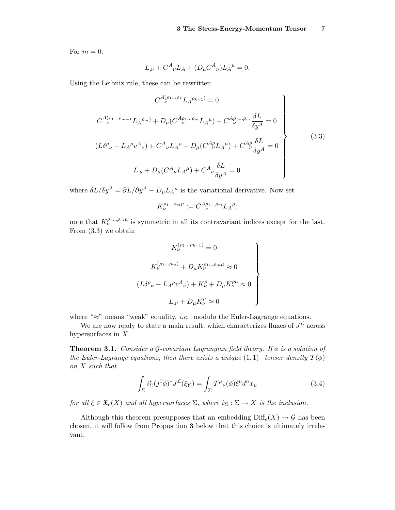<span id="page-6-0"></span>For  $m = 0$ :

$$
L_{,\nu} + C^A_{\nu}L_A + (D_{\mu}C^A_{\nu})L_A^{\mu} = 0.
$$

Using the Leibniz rule, these can be rewritten

$$
C^{A(\rho_1...\rho_k}L_A^{\rho_{k+1})} = 0
$$
  
\n
$$
C^{A(\rho_1...\rho_{m-1}}L_A^{\rho_m)} + D_{\mu}(C^{A\rho_1...\rho_m}L_A^{\mu}) + C^{A\rho_1...\rho_m}\frac{\delta L}{\delta y^A} = 0
$$
  
\n
$$
(L\delta^{\rho}{}_{\nu} - L_A^{\rho}v^A{}_{\nu}) + C^A{}_{\nu}L_A^{\rho} + D_{\mu}(C^{A\rho}_{\nu}L_A^{\mu}) + C^{A\rho}_{\nu}\frac{\delta L}{\delta y^A} = 0
$$
  
\n
$$
L_{,\nu} + D_{\mu}(C^A{}_{\nu}L_A^{\mu}) + C^A{}_{\nu}\frac{\delta L}{\delta y^A} = 0
$$
\n(3.3)

where  $\delta L/\delta y^A = \partial L/\partial y^A - D_\mu L_A^{\mu}$  is the variational derivative. Now set

$$
K_{\nu}^{\rho_1...\rho_m\mu} := C_{\nu}^{A\rho_1...\rho_m} L_A^{\mu};
$$

note that  $K_{\nu}^{\rho_1...\rho_m\mu}$  is symmetric in all its contravariant indices except for the last. From (3.3) we obtain

$$
K_{\nu}^{(\rho_1 \dots \rho_{k+1})} = 0
$$
  
\n
$$
K_{\nu}^{(\rho_1 \dots \rho_m)} + D_{\mu} K_{\nu}^{\rho_1 \dots \rho_m \mu} \approx 0
$$
  
\n
$$
(L \delta^{\rho}{}_{\nu} - L_{A}{}^{\rho} v^{A}{}_{\nu}) + K_{\nu}^{\rho} + D_{\mu} K_{\nu}^{\rho \mu} \approx 0
$$
  
\n
$$
L_{,\nu} + D_{\mu} K_{\nu}^{\mu} \approx 0
$$

where " $\approx$ " means "weak" equality, *i.e.*, modulo the Euler-Lagrange equations.

We are now ready to state a main result, which characterizes fluxes of  $J<sup>L</sup>$  across hypersurfaces in *X*.

**Theorem 3.1.** Consider a G-covariant Lagrangian field theory. If  $\phi$  is a solution of the Euler-Lagrange equations, then there exists a unique  $(1, 1)$ −tensor density  $\mathcal{T}(\phi)$ on *X* such that

$$
\int_{\Sigma} i_{\Sigma}^{*} (j^{1} \phi)^{*} J^{\mathcal{L}}(\xi_{Y}) = \int_{\Sigma} T^{\mu}{}_{\nu}(\phi) \xi^{\nu} d^{n} x_{\mu}
$$
\n(3.4)

for all  $\xi \in \mathfrak{X}_c(X)$  and all hypersurfaces  $\Sigma$ , where  $i_{\Sigma} : \Sigma \to X$  is the inclusion.

Although this theorem presupposes that an embedding  $\text{Diff}_c(X) \to \mathcal{G}$  has been chosen, it will follow from Proposition **3** below that this choice is ultimately irrelevant.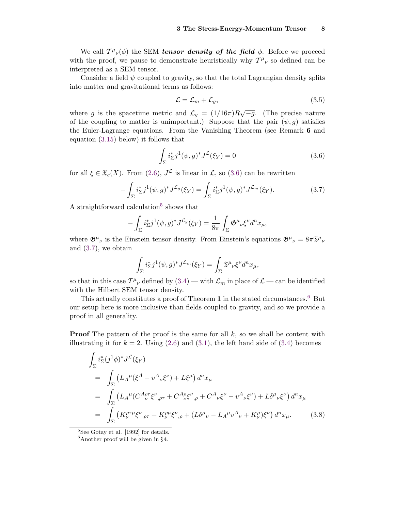<span id="page-7-0"></span>We call  $T^{\mu}{}_{\nu}(\phi)$  the SEM *tensor density of the field*  $\phi$ . Before we proceed with the proof, we pause to demonstrate heuristically why  $T^{\mu}{}_{\nu}$  so defined can be interpreted as a SEM tensor.

Consider a field  $\psi$  coupled to gravity, so that the total Lagrangian density splits into matter and gravitational terms as follows:

$$
\mathcal{L} = \mathcal{L}_m + \mathcal{L}_g,\tag{3.5}
$$

where *g* is the spacetime metric and  $\mathcal{L}_q = (1/16\pi)R\sqrt{-g}$ . (The precise nature of the coupling to matter is unimportant.) Suppose that the pair  $(\psi, g)$  satisfies the Euler-Lagrange equations. From the Vanishing Theorem (see Remark **6** and equation [\(3.15\)](#page-12-0) below) it follows that

$$
\int_{\Sigma} i_{\Sigma}^* j^1(\psi, g)^* J^{\mathcal{L}}(\xi_Y) = 0 \tag{3.6}
$$

for all  $\xi \in \mathfrak{X}_c(X)$ . From [\(2.6\)](#page-4-0),  $J^{\mathcal{L}}$  is linear in  $\mathcal{L}$ , so (3.6) can be rewritten

$$
-\int_{\Sigma} i_{\Sigma}^{*} j^{1}(\psi, g)^{*} J^{\mathcal{L}_{g}}(\xi_{Y}) = \int_{\Sigma} i_{\Sigma}^{*} j^{1}(\psi, g)^{*} J^{\mathcal{L}_{m}}(\xi_{Y}). \tag{3.7}
$$

A straightforward calculation<sup>5</sup> shows that

$$
-\int_{\Sigma} i_{\Sigma}^* j^1(\psi, g)^* J^{\mathcal{L}_g}(\xi_Y) = \frac{1}{8\pi} \int_{\Sigma} \mathfrak{G}^{\mu}{}_{\nu} \xi^{\nu} d^n x_{\mu},
$$

where  $\mathfrak{G}^{\mu}{}_{\nu}$  is the Einstein tensor density. From Einstein's equations  $\mathfrak{G}^{\mu}{}_{\nu} = 8\pi \mathfrak{T}^{\mu}{}_{\nu}$ and (3.7), we obtain

$$
\int_{\Sigma} i_{\Sigma}^* j^1(\psi, g)^* J^{\mathcal{L}_m}(\xi_Y) = \int_{\Sigma} \mathfrak{T}^{\mu}{}_{\nu} \xi^{\nu} d^n x_{\mu},
$$

so that in this case  $T^{\mu}{}_{\nu}$  defined by  $(3.4)$  — with  $\mathcal{L}_m$  in place of  $\mathcal{L}$  — can be identified with the Hilbert SEM tensor density.

This actually constitutes a proof of Theorem **1** in the stated circumstances.<sup>6</sup> But our setup here is more inclusive than fields coupled to gravity, and so we provide a proof in all generality.

**Proof** The pattern of the proof is the same for all k, so we shall be content with illustrating it for  $k = 2$ . Using  $(2.6)$  and  $(3.1)$ , the left hand side of  $(3.4)$  becomes

$$
\int_{\Sigma} i_{\Sigma}^{*} (j^{1} \phi)^{*} J^{\mathcal{L}}(\xi_{Y})
$$
\n
$$
= \int_{\Sigma} \left( L_{A}{}^{\mu} (\xi^{A} - v^{A}{}_{\nu} \xi^{\nu}) + L \xi^{\mu} \right) d^{n} x_{\mu}
$$
\n
$$
= \int_{\Sigma} \left( L_{A}{}^{\mu} (C^{A}{}_{\nu}{}^{\sigma} \xi^{\nu}{}_{,\rho\tau} + C^{A}{}_{\nu} \xi^{\nu}{}_{,\rho} + C^{A}{}_{\nu} \xi^{\nu} - v^{A}{}_{\nu} \xi^{\nu} \right) + L \delta^{\mu}{}_{\nu} \xi^{\nu} \right) d^{n} x_{\mu}
$$
\n
$$
= \int_{\Sigma} \left( K^{\rho\tau \mu}_{\nu} \xi^{\nu}{}_{,\rho\tau} + K^{\rho \mu}_{\nu} \xi^{\nu}{}_{,\rho} + (L \delta^{\mu}{}_{\nu} - L_{A}{}^{\mu} v^{A}{}_{\nu} + K^{\mu}_{\nu}) \xi^{\nu} \right) d^{n} x_{\mu}. \tag{3.8}
$$

<sup>5</sup>See Gotay et al. [1992] for details.

<sup>6</sup>Another proof will be given in §**4**.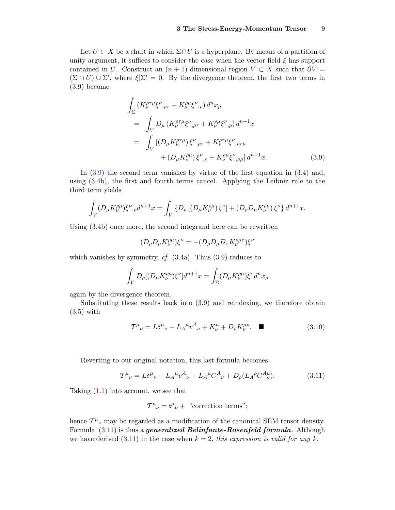<span id="page-8-0"></span>Let  $U \subset X$  be a chart in which  $\Sigma \cap U$  is a hyperplane. By means of a partition of unity argument, it suffices to consider the case when the vector field  $\xi$  has support contained in *U*. Construct an  $(n + 1)$ -dimensional region  $V \subset X$  such that  $\partial V =$  $(\Sigma \cap U) \cup \Sigma'$ , where  $\xi|\Sigma' = 0$ . By the divergence theorem, the first two terms in (3.9) become

$$
\int_{\Sigma} (K_{\nu}^{\rho\tau\mu}\xi^{\nu}{}_{,\rho\tau} + K_{\nu}^{\rho\mu}\xi^{\nu}{}_{,\rho}) d^{n}x_{\mu}
$$
\n
$$
= \int_{V} D_{\mu} (K_{\nu}^{\rho\tau\mu}\xi^{\nu}{}_{,\rho\tau} + K_{\nu}^{\rho\mu}\xi^{\nu}{}_{,\rho}) d^{n+1}x
$$
\n
$$
= \int_{V} [(D_{\mu}K_{\nu}^{\rho\tau\mu})\xi^{\nu}{}_{,\rho\tau} + K_{\nu}^{\rho\tau\mu}\xi^{\nu}{}_{,\rho\tau\mu} + (D_{\mu}K_{\nu}^{\rho\mu})\xi^{\nu}{}_{,\rho} + K_{\nu}^{\rho\mu}\xi^{\nu}{}_{,\rho\mu}] d^{n+1}x. \tag{3.9}
$$

In (3.9) the second term vanishes by virtue of the first equation in (3.4) and, using (3.4b), the first and fourth terms cancel. Applying the Leibniz rule to the third term yields

$$
\int_{V} (D_{\mu} K_{\nu}^{\rho \mu}) \xi^{\nu}{}_{,\rho} d^{n+1} x = \int_{V} \{ D_{\rho} \left[ (D_{\mu} K_{\nu}^{\rho \mu}) \xi^{\nu} \right] + (D_{\rho} D_{\mu} K_{\nu}^{\rho \mu}) \xi^{\nu} \} d^{n+1} x.
$$

Using (3.4b) once more, the second integrand here can be rewritten

$$
(D_{\rho}D_{\mu}K_{\nu}^{\rho\mu})\xi^{\nu} = -(D_{\rho}D_{\mu}D_{\tau}K_{\nu}^{\rho\mu\tau})\xi^{\nu}
$$

which vanishes by symmetry,  $cf.$  (3.4a). Thus (3.9) reduces to

$$
\int_{V} D_{\rho} [(D_{\mu} K_{\nu}^{\rho \mu}) \xi^{\nu}] d^{n+1} x = \int_{\Sigma} (D_{\mu} K_{\nu}^{\rho \mu}) \xi^{\nu} d^{n} x_{\rho}
$$

again by the divergence theorem.

Substituting these results back into (3.9) and reindexing, we therefore obtain (3.5) with

$$
T^{\mu}{}_{\nu} = L\delta^{\mu}{}_{\nu} - L_A^{\mu}v^A{}_{\nu} + K^{\mu}_{\nu} + D_{\rho}K^{\mu\rho}_{\nu}.\quad \blacksquare
$$
\n(3.10)

Reverting to our original notation, this last formula becomes

$$
T^{\mu}_{\ \nu} = L\delta^{\mu}_{\ \nu} - L_A^{\ \mu}v^A_{\ \nu} + L_A^{\ \mu}C^A_{\ \nu} + D_{\rho}(L_A^{\ \rho}C^A_{\ \nu}).\tag{3.11}
$$

Taking [\(1.1\)](#page-0-0) into account, we see that

$$
T^{\mu}{}_{\nu} = \mathfrak{t}^{\mu}{}_{\nu} + \text{ "correction terms";}
$$

hence  $T^{\mu}{}_{\nu}$  may be regarded as a modification of the canonical SEM tensor density. Formula (3.11) is thus a *generalized Belinfante-Rosenfeld formula*. Although we have derived  $(3.11)$  in the case when  $k = 2$ , this expression is valid for any k.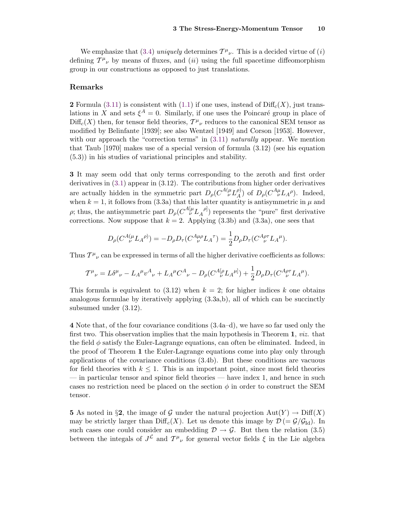We emphasize that [\(3.4\)](#page-6-0) uniquely determines  $T^{\mu}{}_{\nu}$ . This is a decided virtue of (i) defining  $T^{\mu}{}_{\nu}$  by means of fluxes, and (*ii*) using the full spacetime diffeomorphism group in our constructions as opposed to just translations.

#### **Remarks**

**2** Formula [\(3.11\)](#page-8-0) is consistent with [\(1.1\)](#page-0-0) if one uses, instead of  $\text{Diff}_{c}(X)$ , just translations in *X* and sets  $\xi^A = 0$ . Similarly, if one uses the Poincaré group in place of  $\text{Diff}_c(X)$  then, for tensor field theories,  $\mathcal{T}^{\mu}{}_{\nu}$  reduces to the canonical SEM tensor as modified by Belinfante [1939]; see also Wentzel [1949] and Corson [1953]. However, with our approach the "correction terms" in  $(3.11)$  *naturally* appear. We mention that Taub [1970] makes use of a special version of formula (3.12) (see his equation (5.3)) in his studies of variational principles and stability.

**3** It may seem odd that only terms corresponding to the zeroth and first order derivatives in [\(3.1\)](#page-5-0) appear in (3.12). The contributions from higher order derivatives are actually hidden in the symmetric part  $D_{\rho}(C^{A(\mu}L_{A}^{\rho)})$  of  $D_{\rho}(C^{A\mu}L_{A}^{\rho})$ . Indeed, when  $k = 1$ , it follows from (3.3a) that this latter quantity is antisymmetric in  $\mu$  and *ρ*; thus, the antisymmetric part  $D_{\rho} (C^{A[\mu} L_{A}^{\rho]} )$  represents the "pure" first derivative corrections. Now suppose that  $k = 2$ . Applying  $(3.3b)$  and  $(3.3a)$ , one sees that

$$
D_{\rho}(C^{A(\mu}_{\nu}L_{A}\rho)) = -D_{\rho}D_{\tau}(C^{A\mu\rho}_{\nu}L_{A}^{\tau}) = \frac{1}{2}D_{\rho}D_{\tau}(C^{A\rho\tau}_{\nu}L_{A}\rho).
$$

Thus  $T^{\mu}{}_{\nu}$  can be expressed in terms of all the higher derivative coefficients as follows:

$$
T^{\mu}{}_{\nu} = L\delta^{\mu}{}_{\nu} - L_A^{\mu}v^A{}_{\nu} + L_A^{\mu}C^A{}_{\nu} - D_{\rho}(C^A{}_{\nu}^{[\rho}L_A{}^{\mu]}) + \frac{1}{2}D_{\rho}D_{\tau}(C^A{}_{\nu}^{\rho\tau}L_A{}^{\mu}).
$$

This formula is equivalent to  $(3.12)$  when  $k = 2$ ; for higher indices k one obtains analogous formulae by iteratively applying (3.3a,b), all of which can be succinctly subsumed under (3.12).

**4** Note that, of the four covariance conditions (3.4a–d), we have so far used only the first two. This observation implies that the main hypothesis in Theorem **1**, viz. that the field  $\phi$  satisfy the Euler-Lagrange equations, can often be eliminated. Indeed, in the proof of Theorem **1** the Euler-Lagrange equations come into play only through applications of the covariance conditions (3.4b). But these conditions are vacuous for field theories with  $k \leq 1$ . This is an important point, since most field theories — in particular tensor and spinor field theories — have index 1, and hence in such cases no restriction need be placed on the section  $\phi$  in order to construct the SEM tensor.

**5** As noted in §2, the image of G under the natural projection  $Aut(Y) \to \text{Diff}(X)$ may be strictly larger than  $\text{Diff}_c(X)$ . Let us denote this image by  $\mathcal{D} = \mathcal{G}/\mathcal{G}_{\text{Id}}$ . In such cases one could consider an embedding  $\mathcal{D} \rightarrow \mathcal{G}$ . But then the relation (3.5) between the integals of  $J^{\mathcal{L}}$  and  $T^{\mu}{}_{\nu}$  for general vector fields  $\xi$  in the Lie algebra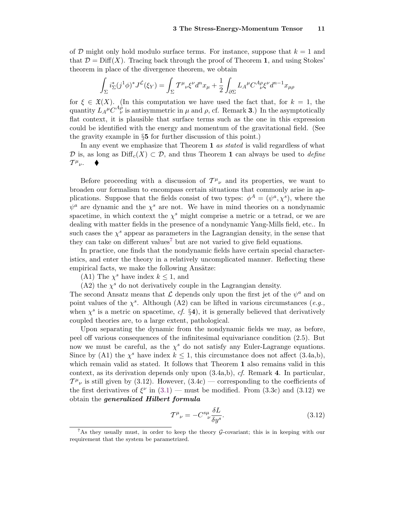<span id="page-10-0"></span>of D might only hold modulo surface terms. For instance, suppose that  $k = 1$  and that  $\mathcal{D} = \text{Diff}(X)$ . Tracing back through the proof of Theorem 1, and using Stokes' theorem in place of the divergence theorem, we obtain

$$
\int_{\Sigma} i_{\Sigma}^*(j^1 \phi)^* J^{\mathcal{L}}(\xi_Y) = \int_{\Sigma} T^{\mu}{}_{\nu} \xi^{\nu} d^n x_{\mu} + \frac{1}{2} \int_{\partial \Sigma} L_A{}^{\mu} C^A{}_{\nu}{}^{\rho} \xi^{\nu} d^{n-1} x_{\mu \rho}
$$

for  $\xi \in \mathfrak{X}(X)$ . (In this computation we have used the fact that, for  $k = 1$ , the quantity  $L_A^{\mu} C_{\ \ \nu}^{A \rho}$  is antisymmetric in  $\mu$  and  $\rho$ , cf. Remark 3.) In the asymptotically flat context, it is plausible that surface terms such as the one in this expression could be identified with the energy and momentum of the gravitational field. (See the gravity example in §**5** for further discussion of this point.)

In any event we emphasize that Theorem **1** as stated is valid regardless of what D is, as long as  $\text{Diff}_c(X) \subset \mathcal{D}$ , and thus Theorem 1 can always be used to *define*  $T^{\mu}{}_{\nu}$ .

Before proceeding with a discussion of  $T^{\mu}{}_{\nu}$  and its properties, we want to broaden our formalism to encompass certain situations that commonly arise in applications. Suppose that the fields consist of two types:  $\phi^A = (\psi^a, \chi^s)$ , where the  $\psi^a$  are dynamic and the  $\chi^s$  are not. We have in mind theories on a nondynamic spacetime, in which context the  $\chi^s$  might comprise a metric or a tetrad, or we are dealing with matter fields in the presence of a nondynamic Yang-Mills field, etc.. In such cases the  $\chi^s$  appear as parameters in the Lagrangian density, in the sense that they can take on different values<sup>7</sup> but are not varied to give field equations.

In practice, one finds that the nondynamic fields have certain special characteristics, and enter the theory in a relatively uncomplicated manner. Reflecting these empirical facts, we make the following Ansätze:

(A1) The  $\chi^s$  have index  $k \leq 1$ , and

 $(A2)$  the  $\chi^s$  do not derivatively couple in the Lagrangian density.

The second Ansatz means that  $\mathcal L$  depends only upon the first jet of the  $\psi^a$  and on point values of the  $\chi^s$ . Although (A2) can be lifted in various circumstances (*e.g.*, when  $\chi^s$  is a metric on spacetime, cf. §4), it is generally believed that derivatively coupled theories are, to a large extent, pathological.

Upon separating the dynamic from the nondynamic fields we may, as before, peel off various consequences of the infinitesimal equivariance condition (2.5). But now we must be careful, as the  $\chi^s$  do not satisfy any Euler-Lagrange equations. Since by (A1) the  $\chi^s$  have index  $k \leq 1$ , this circumstance does not affect (3.4a,b), which remain valid as stated. It follows that Theorem **1** also remains valid in this context, as its derivation depends only upon (3.4a,b), cf. Remark **4**. In particular,  $T^{\mu}{}_{\nu}$  is still given by (3.12). However, (3.4c) — corresponding to the coefficients of the first derivatives of  $\xi^{\nu}$  in [\(3.1\)](#page-5-0) — must be modified. From (3.3c) and (3.12) we obtain the *generalized Hilbert formula*

$$
\mathcal{T}^{\mu}{}_{\nu} = -C^{s\mu}{}_{\nu} \frac{\delta L}{\delta y^s}.\tag{3.12}
$$

<sup>7</sup>As they usually must, in order to keep the theory <sup>G</sup>-covariant; this is in keeping with our requirement that the system be parametrized.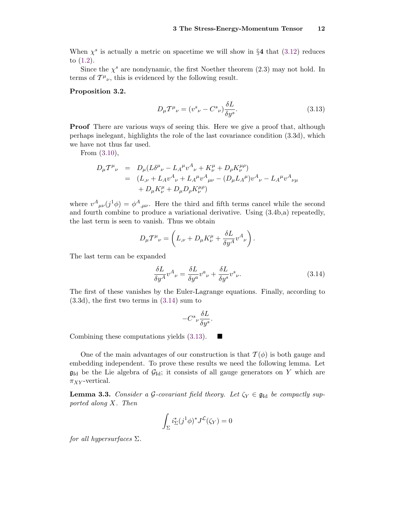<span id="page-11-0"></span>When  $\chi^s$  is actually a metric on spacetime we will show in §4 that [\(3.12\)](#page-10-0) reduces to [\(1.2\)](#page-1-0).

Since the  $\chi^s$  are nondynamic, the first Noether theorem (2.3) may not hold. In terms of  $T^{\mu}{}_{\nu}$ , this is evidenced by the following result.

### **Proposition 3.2.**

$$
D_{\mu}T^{\mu}{}_{\nu} = (v^{s}{}_{\nu} - C^{s}{}_{\nu})\frac{\delta L}{\delta y^{s}}.\tag{3.13}
$$

**Proof** There are various ways of seeing this. Here we give a proof that, although perhaps inelegant, highlights the role of the last covariance condition (3.3d), which we have not thus far used.

From [\(3.10\)](#page-8-0),

$$
D_{\mu}T^{\mu}{}_{\nu} = D_{\mu}(L\delta^{\mu}{}_{\nu} - L_{A}{}^{\mu}v^{A}{}_{\nu} + K_{\nu}^{\mu} + D_{\rho}K_{\nu}^{\mu\rho})
$$
  
=  $(L_{,\nu} + L_{A}v^{A}{}_{\nu} + L_{A}{}^{\mu}v^{A}{}_{\mu\nu} - (D_{\mu}L_{A}{}^{\mu})v^{A}{}_{\nu} - L_{A}{}^{\mu}v^{A}{}_{\nu\mu}$   
+  $D_{\mu}K_{\nu}^{\mu} + D_{\mu}D_{\rho}K_{\nu}^{\mu\rho})$ 

where  $v^A{}_{\mu\nu}(j^1\phi) = \phi^A{}_{,\mu\nu}$ . Here the third and fifth terms cancel while the second and fourth combine to produce a variational derivative. Using (3.4b,a) repeatedly, the last term is seen to vanish. Thus we obtain

$$
D_{\mu}T^{\mu}{}_{\nu} = \left(L_{,\nu} + D_{\mu}K^{\mu}_{\nu} + \frac{\delta L}{\delta y^{A}}v^{A}{}_{\nu}\right).
$$

The last term can be expanded

$$
\frac{\delta L}{\delta y^A} v^A{}_{\nu} = \frac{\delta L}{\delta y^a} v^a{}_{\nu} + \frac{\delta L}{\delta y^s} v^s{}_{\nu}.
$$
\n(3.14)

The first of these vanishes by the Euler-Lagrange equations. Finally, according to (3.3d), the first two terms in (3.14) sum to

$$
-C^s{\scriptstyle \nu}{\delta {\cal L}\over\delta y^s}.
$$

Combining these computations yields  $(3.13)$ .

One of the main advantages of our construction is that  $\mathcal{T}(\phi)$  is both gauge and embedding independent. To prove these results we need the following lemma. Let  $\mathfrak{g}_{\mathrm{Id}}$  be the Lie algebra of  $\mathcal{G}_{\mathrm{Id}}$ ; it consists of all gauge generators on *Y* which are  $\pi_{XY}$ -vertical.

**Lemma 3.3.** Consider a G-covariant field theory. Let  $\zeta_Y \in \mathfrak{g}_{\mathrm{Id}}$  be compactly supported along *X*. Then

$$
\int_{\Sigma} i_{\Sigma}^{*} (j^{1} \phi)^{*} J^{\mathcal{L}} (\zeta_{Y}) = 0
$$

for all hypersurfaces  $\Sigma$ .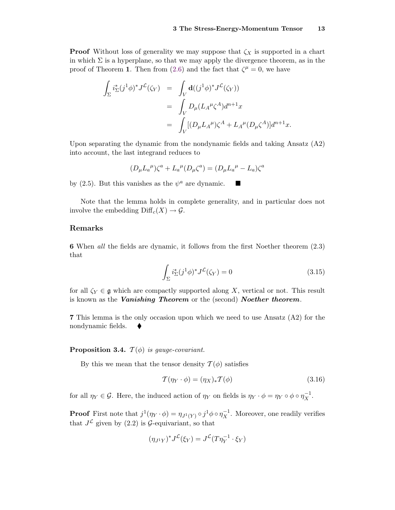<span id="page-12-0"></span>**Proof** Without loss of generality we may suppose that  $\zeta_X$  is supported in a chart in which  $\Sigma$  is a hyperplane, so that we may apply the divergence theorem, as in the proof of Theorem **1**. Then from [\(2.6\)](#page-4-0) and the fact that  $\zeta^{\mu} = 0$ , we have

$$
\int_{\Sigma} i_{\Sigma}^*(j^1 \phi)^* J^{\mathcal{L}}(\zeta_Y) = \int_V \mathbf{d}((j^1 \phi)^* J^{\mathcal{L}}(\zeta_Y))
$$
\n
$$
= \int_V D_{\mu} (L_A^{\mu} \zeta^A) d^{n+1}x
$$
\n
$$
= \int_V [ (D_{\mu} L_A^{\mu}) \zeta^A + L_A^{\mu} (D_{\mu} \zeta^A) ] d^{n+1}x.
$$

Upon separating the dynamic from the nondynamic fields and taking Ansatz (A2) into account, the last integrand reduces to

$$
(D_{\mu}L_a{}^{\mu})\zeta^a + L_a{}^{\mu}(D_{\mu}\zeta^a) = (D_{\mu}L_a{}^{\mu} - L_a)\zeta^a
$$

by (2.5). But this vanishes as the  $\psi^a$  are dynamic.  $\blacksquare$ 

Note that the lemma holds in complete generality, and in particular does not involve the embedding  $\text{Diff}_c(X) \to \mathcal{G}$ .

### **Remarks**

**6** When all the fields are dynamic, it follows from the first Noether theorem (2.3) that

$$
\int_{\Sigma} i_{\Sigma}^*(j^1 \phi)^* J^{\mathcal{L}}(\zeta_Y) = 0 \tag{3.15}
$$

for all  $\zeta_Y \in \mathfrak{g}$  which are compactly supported along X, vertical or not. This result is known as the *Vanishing Theorem* or the (second) *Noether theorem*.

**7** This lemma is the only occasion upon which we need to use Ansatz (A2) for the nondynamic fields.  $\blacklozenge$ 

### **Proposition 3.4.**  $\mathcal{T}(\phi)$  is gauge-covariant.

By this we mean that the tensor density  $\mathcal{T}(\phi)$  satisfies

$$
\mathcal{T}(\eta_Y \cdot \phi) = (\eta_X)_* \mathcal{T}(\phi) \tag{3.16}
$$

for all  $\eta_Y \in \mathcal{G}$ . Here, the induced action of  $\eta_Y$  on fields is  $\eta_Y \cdot \phi = \eta_Y \circ \phi \circ \eta_X^{-1}$ .

**Proof** First note that  $j^1(\eta_Y \cdot \phi) = \eta_{J^1(Y)} \circ j^1 \phi \circ \eta_X^{-1}$ . Moreover, one readily verifies that  $J^{\mathcal{L}}$  given by (2.2) is  $\mathcal{G}$ -equivariant, so that

$$
(\eta_{J^1Y})^*J^{\mathcal{L}}(\xi_Y) = J^{\mathcal{L}}(T\eta_Y^{-1} \cdot \xi_Y)
$$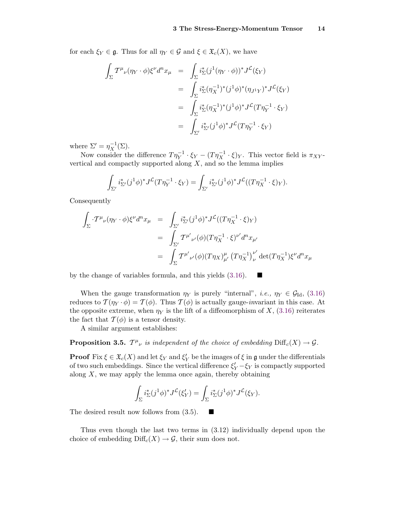for each  $\xi_Y \in \mathfrak{g}$ . Thus for all  $\eta_Y \in \mathcal{G}$  and  $\xi \in \mathfrak{X}_c(X)$ , we have

$$
\int_{\Sigma} T^{\mu}{}_{\nu}(\eta_{Y} \cdot \phi) \xi^{\nu} d^{n}x_{\mu} = \int_{\Sigma} i_{\Sigma}^{*} (j^{1}(\eta_{Y} \cdot \phi))^{*} J^{\mathcal{L}}(\xi_{Y})
$$
\n
$$
= \int_{\Sigma} i_{\Sigma}^{*} (\eta_{X}^{-1})^{*} (j^{1} \phi)^{*} (\eta_{J^{1}Y})^{*} J^{\mathcal{L}}(\xi_{Y})
$$
\n
$$
= \int_{\Sigma} i_{\Sigma}^{*} (\eta_{X}^{-1})^{*} (j^{1} \phi)^{*} J^{\mathcal{L}}(T \eta_{Y}^{-1} \cdot \xi_{Y})
$$
\n
$$
= \int_{\Sigma'} i_{\Sigma'}^{*} (j^{1} \phi)^{*} J^{\mathcal{L}}(T \eta_{Y}^{-1} \cdot \xi_{Y})
$$

where  $\Sigma' = \eta_X^{-1}(\Sigma)$ .

Now consider the difference  $T\eta_Y^{-1} \cdot \xi_Y - (T\eta_X^{-1} \cdot \xi)_Y$ . This vector field is  $\pi_{XY}$ vertical and compactly supported along *X*, and so the lemma implies

$$
\int_{\Sigma'} i_{\Sigma'}^* (j^1 \phi)^* J^{\mathcal{L}}(T \eta_Y^{-1} \cdot \xi_Y) = \int_{\Sigma'} i_{\Sigma'}^* (j^1 \phi)^* J^{\mathcal{L}}((T \eta_X^{-1} \cdot \xi)_Y).
$$

Consequently

$$
\int_{\Sigma} \cdot T^{\mu}{}_{\nu}(\eta_{Y} \cdot \phi) \xi^{\nu} d^{n}x_{\mu} = \int_{\Sigma'} i_{\Sigma'}^{*} (j^{1}\phi)^{*} J^{\mathcal{L}}((T\eta_{X}^{-1} \cdot \xi)_{Y})
$$
\n
$$
= \int_{\Sigma'} T^{\mu'}{}_{\nu'}(\phi) (T\eta_{X}^{-1} \cdot \xi)^{\nu'} d^{n}x_{\mu'}
$$
\n
$$
= \int_{\Sigma} T^{\mu'}{}_{\nu'}(\phi) (T\eta_{X})_{\mu'}^{\mu} (T\eta_{X}^{-1})_{\nu}^{\nu'} \det(T\eta_{X}^{-1}) \xi^{\nu} d^{n}x_{\mu}
$$

by the change of variables formula, and this yields  $(3.16)$ .

When the gauge transformation  $\eta_Y$  is purely "internal", *i.e.*,  $\eta_Y \in \mathcal{G}_{\text{Id}}$ , [\(3.16\)](#page-12-0) reduces to  $\mathcal{T}(\eta_Y \cdot \phi) = \mathcal{T}(\phi)$ . Thus  $\mathcal{T}(\phi)$  is actually gauge-*invariant* in this case. At the opposite extreme, when  $\eta_Y$  is the lift of a diffeomorphism of X, [\(3.16\)](#page-12-0) reiterates the fact that  $\mathcal{T}(\phi)$  is a tensor density.

A similar argument establishes:

**Proposition 3.5.**  $T^{\mu}{}_{\nu}$  is independent of the choice of embedding  $\text{Diff}_c(X) \to \mathcal{G}$ .

**Proof** Fix  $\xi \in \mathfrak{X}_c(X)$  and let  $\xi_Y$  and  $\xi'_Y$  be the images of  $\xi$  in  $\mathfrak{g}$  under the differentials of two such embeddings. Since the vertical difference  $\xi_Y' - \xi_Y$  is compactly supported along *X*, we may apply the lemma once again, thereby obtaining

$$
\int_{\Sigma} i_{\Sigma}^*(j^1 \phi)^* J^{\mathcal{L}}(\xi'_Y) = \int_{\Sigma} i_{\Sigma}^*(j^1 \phi)^* J^{\mathcal{L}}(\xi_Y).
$$

ш

The desired result now follows from  $(3.5)$ .

Thus even though the last two terms in (3.12) individually depend upon the choice of embedding  $\text{Diff}_c(X) \to \mathcal{G}$ , their sum does not.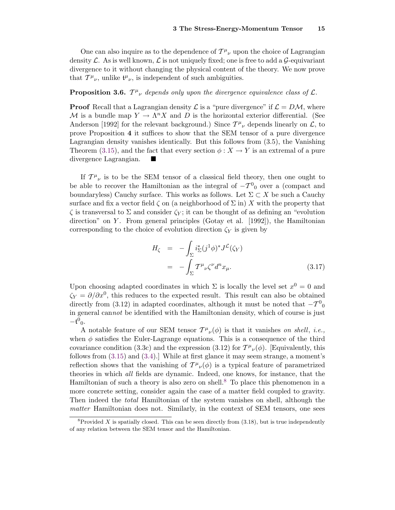One can also inquire as to the dependence of  $T^{\mu}{}_{\nu}$  upon the choice of Lagrangian density  $\mathcal L$ . As is well known,  $\mathcal L$  is not uniquely fixed; one is free to add a  $\mathcal G$ -equivariant divergence to it without changing the physical content of the theory. We now prove that  $T^{\mu}{}_{\nu}$ , unlike  $\mathfrak{t}^{\mu}{}_{\nu}$ , is independent of such ambiguities.

# **Proposition 3.6.**  $T^{\mu}{}_{\nu}$  depends only upon the divergence equivalence class of  $\mathcal{L}$ .

**Proof** Recall that a Lagrangian density  $\mathcal{L}$  is a "pure divergence" if  $\mathcal{L} = D\mathcal{M}$ , where M is a bundle map  $Y \to \Lambda^n X$  and D is the horizontal exterior differential. (See Anderson [1992] for the relevant background.) Since  $T^{\mu}{}_{\nu}$  depends linearly on  $\mathcal{L}$ , to prove Proposition **4** it suffices to show that the SEM tensor of a pure divergence Lagrangian density vanishes identically. But this follows from (3.5), the Vanishing Theorem [\(3.15\)](#page-12-0), and the fact that every section  $\phi: X \to Y$  is an extremal of a pure divergence Lagrangian.

If  $T^{\mu}{}_{\nu}$  is to be the SEM tensor of a classical field theory, then one ought to be able to recover the Hamiltonian as the integral of  $-\mathcal{T}^0$  over a (compact and boundaryless) Cauchy surface. This works as follows. Let  $\Sigma \subset X$  be such a Cauchy surface and fix a vector field  $\zeta$  on (a neighborhood of  $\Sigma$  in) X with the property that  $\zeta$  is transversal to Σ and consider  $\zeta$  it can be thought of as defining an "evolution" direction" on *Y* . From general principles (Gotay et al. [1992]), the Hamiltonian corresponding to the choice of evolution direction  $\zeta_Y$  is given by

$$
H_{\zeta} = -\int_{\Sigma} i_{\Sigma}^{*} (j^{1} \phi)^{*} J^{\mathcal{L}}(\zeta_{Y})
$$
  

$$
= -\int_{\Sigma} T^{\mu}{}_{\nu} \zeta^{\nu} d^{n} x_{\mu}.
$$
 (3.17)

Upon choosing adapted coordinates in which  $\Sigma$  is locally the level set  $x^0 = 0$  and  $\zeta_Y = \partial/\partial x^0$ , this reduces to the expected result. This result can also be obtained directly from (3.12) in adapted coordinates, although it must be noted that  $-\mathcal{T}^0{}_{0}$ in general cannot be identified with the Hamiltonian density, which of course is just  $-t^0$ <sub>0</sub>.

A notable feature of our SEM tensor  $T^{\mu}{}_{\nu}(\phi)$  is that it vanishes on shell, i.e., when  $\phi$  satisfies the Euler-Lagrange equations. This is a consequence of the third covariance condition (3.3c) and the expression (3.12) for  $T^{\mu}{}_{\nu}(\phi)$ . [Equivalently, this follows from [\(3.15\)](#page-12-0) and [\(3.4\)](#page-6-0).] While at first glance it may seem strange, a moment's reflection shows that the vanishing of  $T^{\mu}{}_{\nu}(\phi)$  is a typical feature of parametrized theories in which all fields are dynamic. Indeed, one knows, for instance, that the Hamiltonian of such a theory is also zero on shell.<sup>8</sup> To place this phenomenon in a more concrete setting, consider again the case of a matter field coupled to gravity. Then indeed the total Hamiltonian of the system vanishes on shell, although the matter Hamiltonian does not. Similarly, in the context of SEM tensors, one sees

 $8P$ rovided *X* is spatially closed. This can be seen directly from  $(3.18)$ , but is true independently of any relation between the SEM tensor and the Hamiltonian.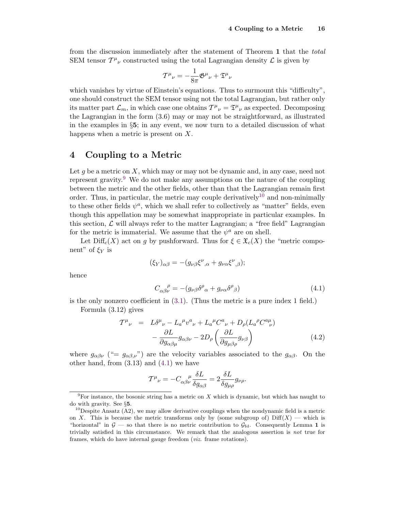<span id="page-15-0"></span>from the discussion immediately after the statement of Theorem **1** that the total SEM tensor  $T^{\mu}{}_{\nu}$  constructed using the total Lagrangian density  $\mathcal L$  is given by

$$
T^{\mu}_{\ \nu} = -\frac{1}{8\pi} \mathfrak{G}^{\mu}_{\ \nu} + \mathfrak{T}^{\mu}_{\ \nu}
$$

which vanishes by virtue of Einstein's equations. Thus to surmount this "difficulty", one should construct the SEM tensor using not the total Lagrangian, but rather only its matter part  $\mathcal{L}_m$ , in which case one obtains  $T^{\mu}{}_{\nu} = \mathfrak{T}^{\mu}{}_{\nu}$  as expected. Decomposing the Lagrangian in the form (3.6) may or may not be straightforward, as illustrated in the examples in  $\S$ 5; in any event, we now turn to a detailed discussion of what happens when a metric is present on *X*.

### **4 Coupling to a Metric**

Let q be a metric on X, which may or may not be dynamic and, in any case, need not represent gravity.<sup>9</sup> We do not make any assumptions on the nature of the coupling between the metric and the other fields, other than that the Lagrangian remain first order. Thus, in particular, the metric may couple derivatively<sup>10</sup> and non-minimally to these other fields  $\psi^a$ , which we shall refer to collectively as "matter" fields, even though this appellation may be somewhat inappropriate in particular examples. In this section,  $\mathcal{L}$  will always refer to the matter Lagrangian; a "free field" Lagrangian for the metric is immaterial. We assume that the  $\psi^a$  are on shell.

Let  $\text{Diff}_c(X)$  act on *g* by pushforward. Thus for  $\xi \in \mathfrak{X}_c(X)$  the "metric component" of  $\xi$ <sup>Y</sup> is

$$
(\xi_Y)_{\alpha\beta} = -(g_{\nu\beta}\xi^{\nu}_{,\alpha} + g_{\nu\alpha}\xi^{\nu}_{,\beta});
$$

hence

$$
C_{\alpha\beta\nu}^{\quad \rho} = -(g_{\nu\beta}\delta^{\rho}{}_{\alpha} + g_{\nu\alpha}\delta^{\rho}{}_{\beta})\tag{4.1}
$$

is the only nonzero coefficient in [\(3.1\)](#page-5-0). (Thus the metric is a pure index 1 field.)

Formula (3.12) gives

$$
\mathcal{T}^{\mu}{}_{\nu} = L\delta^{\mu}{}_{\nu} - L_{a}{}^{\mu}v^{a}{}_{\nu} + L_{a}{}^{\mu}C^{a}{}_{\nu} + D_{\rho}(L_{a}{}^{\rho}C^{a}{}_{\nu}{}^{\mu}) \n- \frac{\partial L}{\partial g_{\alpha\beta\mu}}g_{\alpha\beta\nu} - 2D_{\rho}\left(\frac{\partial L}{\partial g_{\mu\beta\rho}}g_{\nu\beta}\right)
$$
\n(4.2)

where  $g_{\alpha\beta\nu}$  ("=  $g_{\alpha\beta,\nu}$ ") are the velocity variables associated to the  $g_{\alpha\beta}$ . On the other hand, from (3.13) and (4.1) we have

$$
T^{\mu}{}_{\nu} = -C_{\alpha\beta\nu}^{\quad \mu} \frac{\delta L}{\delta g_{\alpha\beta}} = 2 \frac{\delta L}{\delta g_{\mu\rho}} g_{\nu\rho}.
$$

 $9F$ or instance, the bosonic string has a metric on *X* which is dynamic, but which has naught to do with gravity. See §5.<br><sup>10</sup>Despite Ansatz (A2), we may allow derivative couplings when the nondynamic field is a metric

on *X*. This is because the metric transforms only by (some subgroup of)  $\text{Diff}(X)$  — which is "horizontal" in  $G$  — so that there is no metric contribution to  $G_{Id}$ . Consequently Lemma 1 is trivially satisfied in this circumstance. We remark that the analogous assertion is *not* true for frames, which do have internal gauge freedom (*viz.* frame rotations).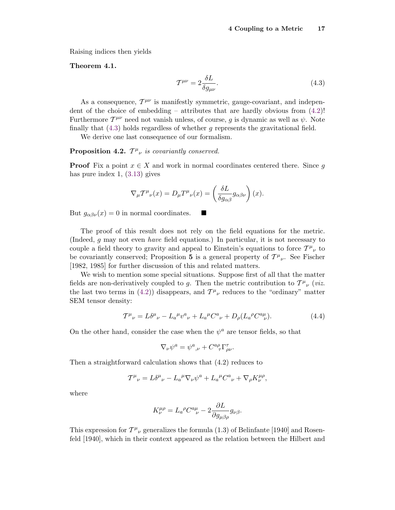Raising indices then yields

### Theorem 4.1.

$$
\mathcal{T}^{\mu\nu} = 2 \frac{\delta L}{\delta g_{\mu\nu}}.\tag{4.3}
$$

As a consequence,  $T^{\mu\nu}$  is manifestly symmetric, gauge-covariant, and independent of the choice of embedding – attributes that are hardly obvious from  $(4.2)!$  $(4.2)!$ Furthermore  $T^{\mu\nu}$  need not vanish unless, of course, *g* is dynamic as well as  $\psi$ . Note finally that (4.3) holds regardless of whether *g* represents the gravitational field.

We derive one last consequence of our formalism.

# **Proposition 4.2.**  $T^{\mu}{}_{\nu}$  is covariantly conserved.

**Proof** Fix a point  $x \in X$  and work in normal coordinates centered there. Since *g* has pure index 1, [\(3.13\)](#page-11-0) gives

$$
\nabla_{\mu} T^{\mu}{}_{\nu}(x) = D_{\mu} T^{\mu}{}_{\nu}(x) = \left(\frac{\delta L}{\delta g_{\alpha\beta}} g_{\alpha\beta\nu}\right)(x).
$$

ш

But  $g_{\alpha\beta\nu}(x) = 0$  in normal coordinates.

The proof of this result does not rely on the field equations for the metric. (Indeed, *g* may not even have field equations.) In particular, it is not necessary to couple a field theory to gravity and appeal to Einstein's equations to force  $T^{\mu}{}_{\nu}$  to be covariantly conserved; Proposition 5 is a general property of  $T^{\mu}{}_{\nu}$ . See Fischer [1982, 1985] for further discussion of this and related matters.

We wish to mention some special situations. Suppose first of all that the matter fields are non-derivatively coupled to *g*. Then the metric contribution to  $T^{\mu}{}_{\nu}$  (*viz.* the last two terms in [\(4.2\)](#page-15-0)) disappears, and  $T^{\mu}{}_{\nu}$  reduces to the "ordinary" matter SEM tensor density:

$$
T^{\mu}{}_{\nu} = L\delta^{\mu}{}_{\nu} - L_{a}{}^{\mu}v^{a}{}_{\nu} + L_{a}{}^{\mu}C^{a}{}_{\nu} + D_{\rho}(L_{a}{}^{\rho}C^{a\mu}{}_{\nu}).
$$
\n(4.4)

On the other hand, consider the case when the  $\psi^a$  are tensor fields, so that

$$
\nabla_{\nu}\psi^{a} = \psi^{a}{}_{,\nu} + C^{a\rho}_{\ \ \tau}\Gamma^{\tau}_{\rho\nu}.
$$

Then a straightforward calculation shows that (4.2) reduces to

$$
T^{\mu}_{\ \nu} = L\delta^{\mu}_{\ \nu} - L_a^{\ \mu}\nabla_{\nu}\psi^a + L_a^{\ \mu}C^a_{\ \nu} + \nabla_{\rho}K^{\mu\rho}_{\nu},
$$

where

$$
K^{\mu\rho}_{\nu}=L_a{}^{\rho}C^{a\mu}_{\quad \nu}-2\frac{\partial L}{\partial g_{\mu\beta\rho}}g_{\nu\beta}.
$$

This expression for  $T^{\mu}{}_{\nu}$  generalizes the formula (1.3) of Belinfante [1940] and Rosenfeld [1940], which in their context appeared as the relation between the Hilbert and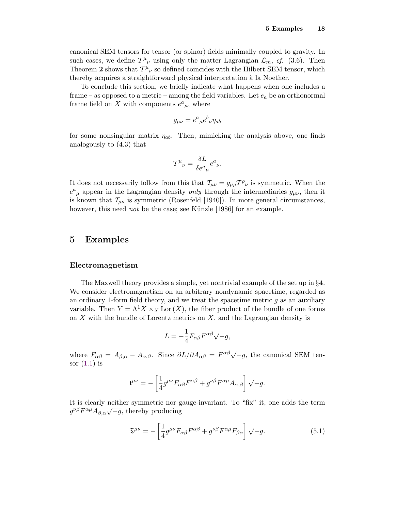<span id="page-17-0"></span>canonical SEM tensors for tensor (or spinor) fields minimally coupled to gravity. In such cases, we define  $T^{\mu}{}_{\nu}$  using only the matter Lagrangian  $\mathcal{L}_m$ , cf. (3.6). Then Theorem 2 shows that  $T^{\mu}{}_{\nu}$  so defined coincides with the Hilbert SEM tensor, which thereby acquires a straightforward physical interpretation à la Noether.

To conclude this section, we briefly indicate what happens when one includes a frame – as opposed to a metric – among the field variables. Let  $e_a$  be an orthonormal frame field on X with components  $e^a_{\mu}$ , where

$$
g_{\mu\nu} = e^a{}_{\mu}e^b{}_{\nu}\eta_{ab}
$$

for some nonsingular matrix *η*ab. Then, mimicking the analysis above, one finds analogously to (4.3) that

$$
T^{\mu}_{\ \nu} = \frac{\delta L}{\delta e^a_{\ \mu}} e^a_{\ \nu}.
$$

It does not necessarily follow from this that  $T_{\mu\nu} = g_{\mu\rho} T^{\rho}{}_{\nu}$  is symmetric. When the  $e^a{}_\mu$  appear in the Lagrangian density *only* through the intermediaries  $g_{\mu\nu}$ , then it is known that  $\mathcal{T}_{\mu\nu}$  is symmetric (Rosenfeld [1940]). In more general circumstances, however, this need *not* be the case; see Künzle [1986] for an example.

### **5 Examples**

### **Electromagnetism**

The Maxwell theory provides a simple, yet nontrivial example of the set up in §**4**. We consider electromagnetism on an arbitrary nondynamic spacetime, regarded as an ordinary 1-form field theory, and we treat the spacetime metric *g* as an auxiliary variable. Then  $Y = \Lambda^1 X \times_X \text{Lor}(X)$ , the fiber product of the bundle of one forms on *X* with the bundle of Lorentz metrics on *X*, and the Lagrangian density is

$$
L = -\frac{1}{4} F_{\alpha\beta} F^{\alpha\beta} \sqrt{-g},
$$

where  $F_{\alpha\beta} = A_{\beta,\alpha} - A_{\alpha,\beta}$ . Since  $\partial L/\partial A_{\alpha\beta} = F^{\alpha\beta}\sqrt{-g}$ , the canonical SEM tensor  $(1.1)$  is

$$
\mathfrak{t}^{\mu\nu}=-\left[\frac{1}{4}g^{\mu\nu}F_{\alpha\beta}F^{\alpha\beta}+g^{\nu\beta}F^{\alpha\mu}A_{\alpha,\beta}\right]\sqrt{-g}.
$$

It is clearly neither symmetric nor gauge-invariant. To "fix" it, one adds the term  $g^{\nu\beta}F^{\alpha\mu}A_{\beta,\alpha}\sqrt{-g}$ , thereby producing

$$
\mathfrak{T}^{\mu\nu} = -\left[\frac{1}{4}g^{\mu\nu}F_{\alpha\beta}F^{\alpha\beta} + g^{\nu\beta}F^{\alpha\mu}F_{\beta\alpha}\right]\sqrt{-g}.\tag{5.1}
$$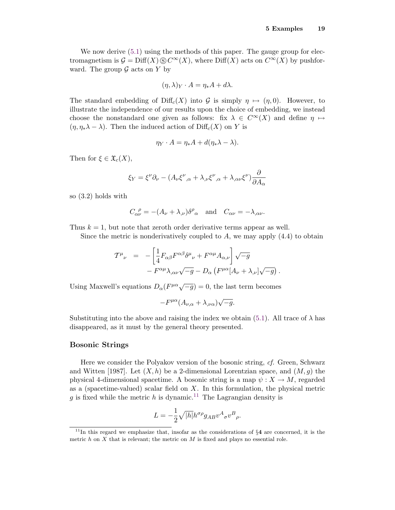We now derive  $(5.1)$  using the methods of this paper. The gauge group for electromagnetism is  $\mathcal{G} = \text{Diff}(X) \otimes C^{\infty}(X)$ , where  $\text{Diff}(X)$  acts on  $C^{\infty}(X)$  by pushforward. The group  $\mathcal G$  acts on  $Y$  by

$$
(\eta, \lambda)_Y \cdot A = \eta_* A + d\lambda.
$$

The standard embedding of  $\text{Diff}_c(X)$  into G is simply  $\eta \mapsto (\eta, 0)$ . However, to illustrate the independence of our results upon the choice of embedding, we instead choose the nonstandard one given as follows: fix  $\lambda \in C^{\infty}(X)$  and define  $\eta \mapsto$  $(\eta, \eta_*\lambda - \lambda)$ . Then the induced action of Diff<sub>c</sub>(*X*) on *Y* is

$$
\eta_Y \cdot A = \eta_* A + d(\eta_* \lambda - \lambda).
$$

Then for  $\xi \in \mathfrak{X}_c(X)$ ,

$$
\xi_Y = \xi^{\nu} \partial_{\nu} - (A_{\nu} \xi^{\nu}{}_{,\alpha} + \lambda_{,\nu} \xi^{\nu}{}_{,\alpha} + \lambda_{,\alpha \nu} \xi^{\nu}) \frac{\partial}{\partial A_{\alpha}}
$$

so (3.2) holds with

$$
C_{\alpha\nu}^{\ \rho} = -(A_{\nu} + \lambda_{,\nu})\delta^{\rho}{}_{\alpha} \quad \text{and} \quad C_{\alpha\nu} = -\lambda_{,\alpha\nu}.
$$

Thus  $k = 1$ , but note that zeroth order derivative terms appear as well.

Since the metric is nonderivatively coupled to *A*, we may apply (4.4) to obtain

$$
T^{\mu}{}_{\nu} = -\left[\frac{1}{4}F_{\alpha\beta}F^{\alpha\beta}\delta^{\mu}{}_{\nu} + F^{\alpha\mu}A_{\alpha,\nu}\right]\sqrt{-g} - F^{\alpha\mu}\lambda_{,\alpha\nu}\sqrt{-g} - D_{\alpha}\left(F^{\mu\alpha}[A_{\nu} + \lambda_{,\nu}]\sqrt{-g}\right).
$$

Using Maxwell's equations  $D_{\alpha}(F^{\mu\alpha}\sqrt{-g}) = 0$ , the last term becomes

$$
-F^{\mu\alpha}(A_{\nu,\alpha}+\lambda_{,\nu\alpha})\sqrt{-g}.
$$

Substituting into the above and raising the index we obtain  $(5.1)$ . All trace of  $\lambda$  has disappeared, as it must by the general theory presented.

### **Bosonic Strings**

Here we consider the Polyakov version of the bosonic string, cf. Green, Schwarz and Witten [1987]. Let  $(X, h)$  be a 2-dimensional Lorentzian space, and  $(M, g)$  the physical 4-dimensional spacetime. A bosonic string is a map  $\psi : X \to M$ , regarded as a (spacetime-valued) scalar field on *X*. In this formulation, the physical metric q is fixed while the metric h is dynamic.<sup>11</sup> The Lagrangian density is

$$
L = -\frac{1}{2}\sqrt{|h|}h^{\sigma\rho}g_{AB}v^{A}{}_{\sigma}v^{B}{}_{\rho}.
$$

 $11$ In this regard we emphasize that, insofar as the considerations of  $\S4$  are concerned, it is the metric  $h$  on  $X$  that is relevant; the metric on  $M$  is fixed and plays no essential role.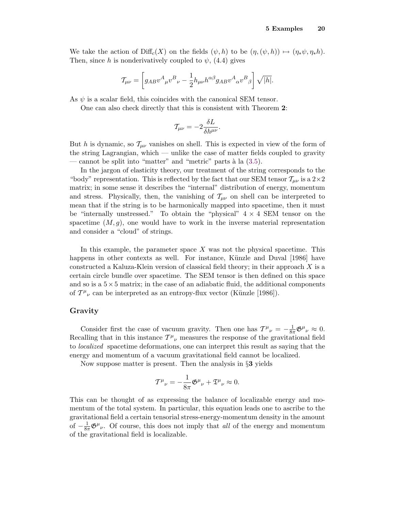We take the action of  $\text{Diff}_c(X)$  on the fields  $(\psi, h)$  to be  $(\eta, (\psi, h)) \mapsto (\eta, \psi, \eta, h)$ . Then, since *h* is nonderivatively coupled to  $\psi$ , (4.4) gives

$$
\mathcal{T}_{\mu\nu} = \left[ g_{AB} v^A{}_{\mu} v^B{}_{\nu} - \frac{1}{2} h_{\mu\nu} h^{\alpha\beta} g_{AB} v^A{}_{\alpha} v^B{}_{\beta} \right] \sqrt{|h|}.
$$

As  $\psi$  is a scalar field, this coincides with the canonical SEM tensor.

One can also check directly that this is consistent with Theorem **2**:

$$
\mathcal{T}_{\mu\nu} = -2 \frac{\delta L}{\delta h^{\mu\nu}}.
$$

But *h* is dynamic, so  $\mathcal{T}_{\mu\nu}$  vanishes on shell. This is expected in view of the form of the string Lagrangian, which — unlike the case of matter fields coupled to gravity — cannot be split into "matter" and "metric" parts à la  $(3.5)$ .

In the jargon of elasticity theory, our treatment of the string corresponds to the "body" representation. This is reflected by the fact that our SEM tensor  $\mathcal{T}_{\mu\nu}$  is a  $2\times 2$ matrix; in some sense it describes the "internal" distribution of energy, momentum and stress. Physically, then, the vanishing of  $\mathcal{T}_{\mu\nu}$  on shell can be interpreted to mean that if the string is to be harmonically mapped into spacetime, then it must be "internally unstressed." To obtain the "physical"  $4 \times 4$  SEM tensor on the spacetime  $(M, g)$ , one would have to work in the inverse material representation and consider a "cloud" of strings.

In this example, the parameter space *X* was not the physical spacetime. This happens in other contexts as well. For instance, Künzle and Duval [1986] have constructed a Kaluza-Klein version of classical field theory; in their approach *X* is a certain circle bundle over spacetime. The SEM tensor is then defined on this space and so is a  $5\times 5$  matrix; in the case of an adiabatic fluid, the additional components of  $T^{\mu}_{\ \nu}$  can be interpreted as an entropy-flux vector (Künzle [1986]).

### **Gravity**

Consider first the case of vacuum gravity. Then one has  $T^{\mu}{}_{\nu} = -\frac{1}{8\pi} \mathfrak{G}^{\mu}{}_{\nu} \approx 0$ . Recalling that in this instance  $T^{\mu}{}_{\nu}$  measures the response of the gravitational field to localized spacetime deformations, one can interpret this result as saying that the energy and momentum of a vacuum gravitational field cannot be localized.

Now suppose matter is present. Then the analysis in §**3** yields

$$
T^{\mu}_{\ \nu} = -\frac{1}{8\pi} \mathfrak{G}^{\mu}_{\ \nu} + \mathfrak{T}^{\mu}_{\ \nu} \approx 0.
$$

This can be thought of as expressing the balance of localizable energy and momentum of the total system. In particular, this equation leads one to ascribe to the gravitational field a certain tensorial stress-energy-momentum density in the amount of  $-\frac{1}{8\pi}\mathfrak{G}^{\mu}{}_{\nu}$ . Of course, this does not imply that all of the energy and momentum of the gravitational field is localizable.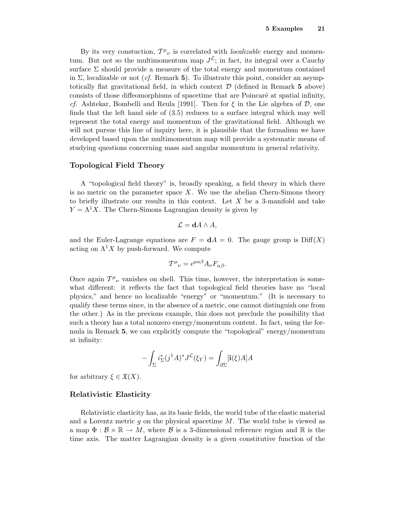By its very constuction,  $T^{\mu}{}_{\nu}$  is correlated with *localizable* energy and momentum. But not so the multimomentum map  $J^{\mathcal{L}}$ ; in fact, its integral over a Cauchy surface  $\Sigma$  should provide a measure of the total energy and momentum contained in  $\Sigma$ , localizable or not (*cf.* Remark **5**). To illustrate this point, consider an asymptotically flat gravitational field, in which context D (defined in Remark **5** above) consists of those diffeomorphisms of spacetime that are Poincaré at spatial infinity, cf. Ashtekar, Bombelli and Reula [1991]. Then for *ξ* in the Lie algebra of D, one finds that the left hand side of (3.5) reduces to a surface integral which may well represent the total energy and momentum of the gravitational field. Although we will not pursue this line of inquiry here, it is plausible that the formalism we have developed based upon the multimomentum map will provide a systematic means of studying questions concerning mass and angular momentum in general relativity.

### **Topological Field Theory**

A "topological field theory" is, broadly speaking, a field theory in which there is no metric on the parameter space *X*. We use the abelian Chern-Simons theory to briefly illustrate our results in this context. Let *X* be a 3-manifold and take  $Y = \Lambda^1 X$ . The Chern-Simons Lagrangian density is given by

$$
\mathcal{L} = \mathbf{d} A \wedge A,
$$

and the Euler-Lagrange equations are  $F = dA = 0$ . The gauge group is  $Diff(X)$ acting on  $\Lambda^1 X$  by push-forward. We compute

$$
T^{\mu}{}_{\nu} = \epsilon^{\mu\alpha\beta} A_{\nu} F_{\alpha\beta}.
$$

Once again  $T^{\mu}{}_{\nu}$  vanishes on shell. This time, however, the interpretation is somewhat different: it reflects the fact that topological field theories have no "local physics," and hence no localizable "energy" or "momentum." (It is necessary to qualify these terms since, in the absence of a metric, one cannot distinguish one from the other.) As in the previous example, this does not preclude the possibility that such a theory has a total nonzero energy/momentum content. In fact, using the formula in Remark **5**, we can explicitly compute the "topological" energy/momentum at infinity:

$$
-\int_{\Sigma} i_{\Sigma}^{*} (j^{1} A)^{*} J^{\mathcal{L}}(\xi_{Y}) = \int_{\partial \Sigma} [\mathbf{i}(\xi) A] A
$$

for arbitrary  $\xi \in \mathfrak{X}(X)$ .

### **Relativistic Elasticity**

Relativistic elasticity has, as its basic fields, the world tube of the elastic material and a Lorentz metric *g* on the physical spacetime *M*. The world tube is viewed as a map  $\Phi : \mathcal{B} \times \mathbb{R} \to M$ , where  $\mathcal{B}$  is a 3-dimensional reference region and  $\mathbb{R}$  is the time axis. The matter Lagrangian density is a given constitutive function of the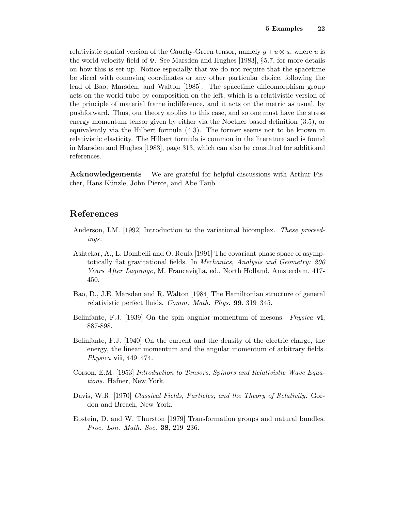relativistic spatial version of the Cauchy-Green tensor, namely  $g + u \otimes u$ , where *u* is the world velocity field of  $\Phi$ . See Marsden and Hughes [1983], §5.7, for more details on how this is set up. Notice especially that we do not require that the spacetime be sliced with comoving coordinates or any other particular choice, following the lead of Bao, Marsden, and Walton [1985]. The spacetime diffeomorphism group acts on the world tube by composition on the left, which is a relativistic version of the principle of material frame indifference, and it acts on the metric as usual, by pushforward. Thus, our theory applies to this case, and so one must have the stress energy momentum tensor given by either via the Noether based definition (3.5), or equivalently via the Hilbert formula (4.3). The former seems not to be known in relativistic elasticity. The Hilbert formula is common in the literature and is found in Marsden and Hughes [1983], page 313, which can also be consulted for additional references.

**Acknowledgements** We are grateful for helpful discussions with Arthur Fischer, Hans Künzle, John Pierce, and Abe Taub.

### **References**

- Anderson, I.M. [1992] Introduction to the variational bicomplex. These proceedings.
- Ashtekar, A., L. Bombelli and O. Reula [1991] The covariant phase space of asymptotically flat gravitational fields. In Mechanics, Analysis and Geometry: 200 Years After Lagrange, M. Francaviglia, ed., North Holland, Amsterdam, 417- 450.
- Bao, D., J.E. Marsden and R. Walton [1984] The Hamiltonian structure of general relativistic perfect fluids. Comm. Math. Phys. **99**, 319–345.
- Belinfante, F.J. [1939] On the spin angular momentum of mesons. Physica **vi**, 887-898.
- Belinfante, F.J. [1940] On the current and the density of the electric charge, the energy, the linear momentum and the angular momentum of arbitrary fields. Physica **vii**, 449–474.
- Corson, E.M. [1953] Introduction to Tensors, Spinors and Relativistic Wave Equations. Hafner, New York.
- Davis, W.R. [1970] Classical Fields, Particles, and the Theory of Relativity. Gordon and Breach, New York.
- Epstein, D. and W. Thurston [1979] Transformation groups and natural bundles. Proc. Lon. Math. Soc. **38**, 219–236.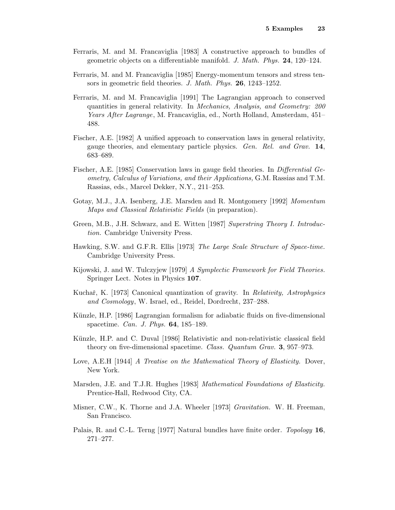- Ferraris, M. and M. Francaviglia [1983] A constructive approach to bundles of geometric objects on a differentiable manifold. J. Math. Phys. **24**, 120–124.
- Ferraris, M. and M. Francaviglia [1985] Energy-momentum tensors and stress tensors in geometric field theories. J. Math. Phys. **26**, 1243–1252.
- Ferraris, M. and M. Francaviglia [1991] The Lagrangian approach to conserved quantities in general relativity. In Mechanics, Analysis, and Geometry: 200 Years After Lagrange, M. Francaviglia, ed., North Holland, Amsterdam, 451– 488.
- Fischer, A.E. [1982] A unified approach to conservation laws in general relativity, gauge theories, and elementary particle physics. Gen. Rel. and Grav. **14**, 683–689.
- Fischer, A.E. [1985] Conservation laws in gauge field theories. In Differential Geometry, Calculus of Variations, and their Applications, G.M. Rassias and T.M. Rassias, eds., Marcel Dekker, N.Y., 211–253.
- Gotay, M.J., J.A. Isenberg, J.E. Marsden and R. Montgomery [1992] Momentum Maps and Classical Relativistic Fields (in preparation).
- Green, M.B., J.H. Schwarz, and E. Witten [1987] Superstring Theory I. Introduction. Cambridge University Press.
- Hawking, S.W. and G.F.R. Ellis [1973] The Large Scale Structure of Space-time. Cambridge University Press.
- Kijowski, J. and W. Tulczyjew [1979] A Symplectic Framework for Field Theories. Springer Lect. Notes in Physics **107**.
- Kuchař, K. [1973] Canonical quantization of gravity. In *Relativity, Astrophysics* and Cosmology, W. Israel, ed., Reidel, Dordrecht, 237–288.
- Künzle, H.P. [1986] Lagrangian formalism for adiabatic fluids on five-dimensional spacetime. Can. J. Phys. **64**, 185–189.
- Künzle, H.P. and C. Duval [1986] Relativistic and non-relativistic classical field theory on five-dimensional spacetime. Class. Quantum Grav. **3**, 957–973.
- Love, A.E.H [1944] A Treatise on the Mathematical Theory of Elasticity. Dover, New York.
- Marsden, J.E. and T.J.R. Hughes [1983] Mathematical Foundations of Elasticity. Prentice-Hall, Redwood City, CA.
- Misner, C.W., K. Thorne and J.A. Wheeler [1973] Gravitation. W. H. Freeman, San Francisco.
- Palais, R. and C.-L. Terng [1977] Natural bundles have finite order. Topology **16**, 271–277.